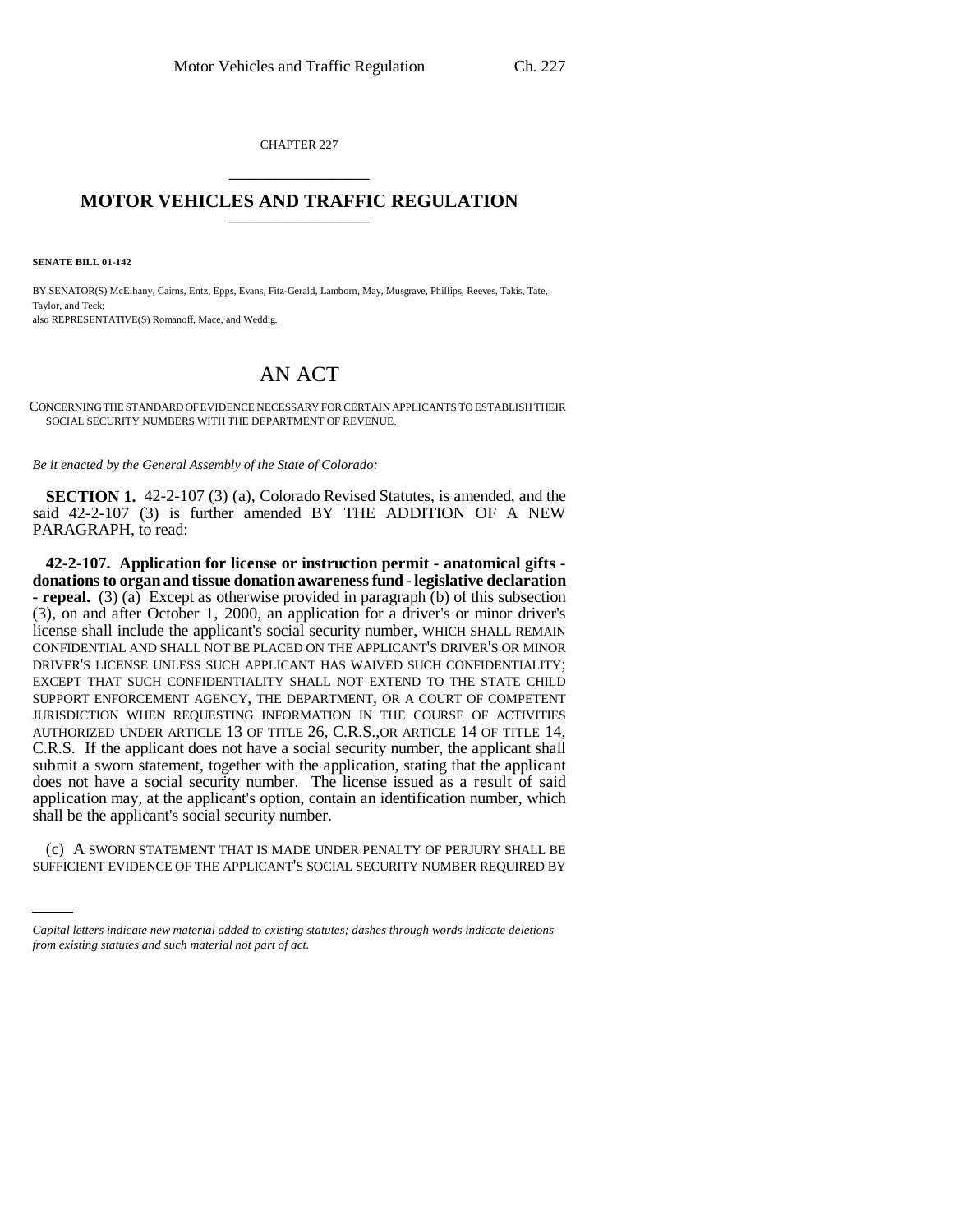CHAPTER 227 \_\_\_\_\_\_\_\_\_\_\_\_\_\_\_

## **MOTOR VEHICLES AND TRAFFIC REGULATION** \_\_\_\_\_\_\_\_\_\_\_\_\_\_\_

**SENATE BILL 01-142**

BY SENATOR(S) McElhany, Cairns, Entz, Epps, Evans, Fitz-Gerald, Lamborn, May, Musgrave, Phillips, Reeves, Takis, Tate, Taylor, and Teck; also REPRESENTATIVE(S) Romanoff, Mace, and Weddig.

## AN ACT

CONCERNING THE STANDARD OF EVIDENCE NECESSARY FOR CERTAIN APPLICANTS TO ESTABLISH THEIR SOCIAL SECURITY NUMBERS WITH THE DEPARTMENT OF REVENUE.

*Be it enacted by the General Assembly of the State of Colorado:*

**SECTION 1.** 42-2-107 (3) (a), Colorado Revised Statutes, is amended, and the said 42-2-107 (3) is further amended BY THE ADDITION OF A NEW PARAGRAPH, to read:

**42-2-107. Application for license or instruction permit - anatomical gifts donations to organ and tissue donation awareness fund - legislative declaration - repeal.** (3) (a) Except as otherwise provided in paragraph (b) of this subsection (3), on and after October 1, 2000, an application for a driver's or minor driver's license shall include the applicant's social security number, WHICH SHALL REMAIN CONFIDENTIAL AND SHALL NOT BE PLACED ON THE APPLICANT'S DRIVER'S OR MINOR DRIVER'S LICENSE UNLESS SUCH APPLICANT HAS WAIVED SUCH CONFIDENTIALITY; EXCEPT THAT SUCH CONFIDENTIALITY SHALL NOT EXTEND TO THE STATE CHILD SUPPORT ENFORCEMENT AGENCY, THE DEPARTMENT, OR A COURT OF COMPETENT JURISDICTION WHEN REQUESTING INFORMATION IN THE COURSE OF ACTIVITIES AUTHORIZED UNDER ARTICLE 13 OF TITLE 26, C.R.S.,OR ARTICLE 14 OF TITLE 14, C.R.S. If the applicant does not have a social security number, the applicant shall submit a sworn statement, together with the application, stating that the applicant does not have a social security number. The license issued as a result of said application may, at the applicant's option, contain an identification number, which shall be the applicant's social security number.

(c) A SWORN STATEMENT THAT IS MADE UNDER PENALTY OF PERJURY SHALL BE SUFFICIENT EVIDENCE OF THE APPLICANT'S SOCIAL SECURITY NUMBER REQUIRED BY

*Capital letters indicate new material added to existing statutes; dashes through words indicate deletions from existing statutes and such material not part of act.*